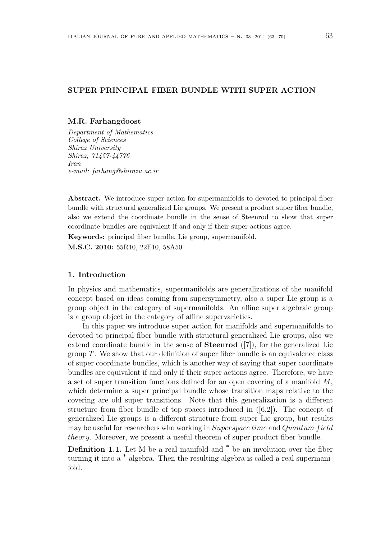# SUPER PRINCIPAL FIBER BUNDLE WITH SUPER ACTION

### M.R. Farhangdoost

Department of Mathematics College of Sciences Shiraz University Shiraz, 71457-44776 Iran e-mail: farhang@shirazu.ac.ir

Abstract. We introduce super action for supermanifolds to devoted to principal fiber bundle with structural generalized Lie groups. We present a product super fiber bundle, also we extend the coordinate bundle in the sense of Steenrod to show that super coordinate bundles are equivalent if and only if their super actions agree.

Keywords: principal fiber bundle, Lie group, supermanifold. M.S.C. 2010: 55R10, 22E10, 58A50.

# 1. Introduction

In physics and mathematics, supermanifolds are generalizations of the manifold concept based on ideas coming from supersymmetry, also a super Lie group is a group object in the category of supermanifolds. An affine super algebraic group is a group object in the category of affine supervarieties.

In this paper we introduce super action for manifolds and supermanifolds to devoted to principal fiber bundle with structural generalized Lie groups, also we extend coordinate bundle in the sense of Steenrod ([7]), for the generalized Lie group  $T$ . We show that our definition of super fiber bundle is an equivalence class of super coordinate bundles, which is another way of saying that super coordinate bundles are equivalent if and only if their super actions agree. Therefore, we have a set of super transition functions defined for an open covering of a manifold  $M$ , which determine a super principal bundle whose transition maps relative to the covering are old super transitions. Note that this generalization is a different structure from fiber bundle of top spaces introduced in ([6,2]). The concept of generalized Lie groups is a different structure from super Lie group, but results may be useful for researchers who working in Superspace time and Quantum field theory. Moreover, we present a useful theorem of super product fiber bundle.

Definition 1.1. Let M be a real manifold and \* be an involution over the fiber turning it into a \* algebra. Then the resulting algebra is called a real supermanifold.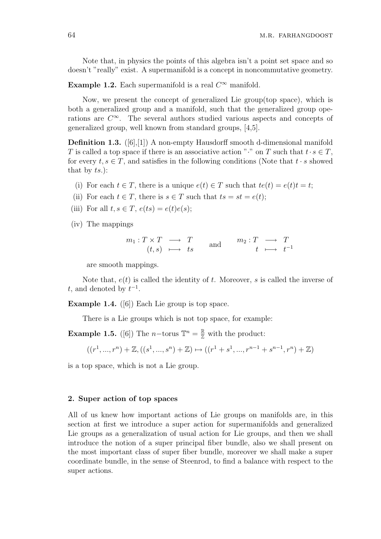Note that, in physics the points of this algebra isn't a point set space and so doesn't "really" exist. A supermanifold is a concept in noncommutative geometry.

**Example 1.2.** Each supermanifold is a real  $C^{\infty}$  manifold.

Now, we present the concept of generalized Lie group(top space), which is both a generalized group and a manifold, such that the generalized group operations are  $C^{\infty}$ . The several authors studied various aspects and concepts of generalized group, well known from standard groups, [4,5].

Definition 1.3. ([6],[1]) A non-empty Hausdorff smooth d-dimensional manifold T is called a top space if there is an associative action "<sup>\*</sup>." on T such that  $t \cdot s \in T$ , for every  $t, s \in T$ , and satisfies in the following conditions (Note that  $t \cdot s$  showed that by  $ts.$ ):

- (i) For each  $t \in T$ , there is a unique  $e(t) \in T$  such that  $te(t) = e(t)t = t$ ;
- (ii) For each  $t \in T$ , there is  $s \in T$  such that  $ts = st = e(t)$ ;
- (iii) For all  $t, s \in T$ ,  $e(ts) = e(t)e(s)$ ;
- (iv) The mappings

$$
m_1: T \times T \longrightarrow T
$$
  
\n $(t, s) \longmapsto ts$  and  $m_2: T \longrightarrow T$   
\n $t \longmapsto t^{-1}$ 

are smooth mappings.

Note that,  $e(t)$  is called the identity of t. Moreover, s is called the inverse of t, and denoted by  $t^{-1}$ .

Example 1.4. ([6]) Each Lie group is top space.

There is a Lie groups which is not top space, for example:

**Example 1.5.** ([6]) The *n*-torus  $\mathbb{T}^n = \frac{\mathbb{R}}{\mathbb{Z}}$  with the product:

$$
((r^1, ..., r^n) + \mathbb{Z}, ((s^1, ..., s^n) + \mathbb{Z}) \mapsto ((r^1 + s^1, ..., r^{n-1} + s^{n-1}, r^n) + \mathbb{Z})
$$

is a top space, which is not a Lie group.

## 2. Super action of top spaces

All of us knew how important actions of Lie groups on manifolds are, in this section at first we introduce a super action for supermanifolds and generalized Lie groups as a generalization of usual action for Lie groups, and then we shall introduce the notion of a super principal fiber bundle, also we shall present on the most important class of super fiber bundle, moreover we shall make a super coordinate bundle, in the sense of Steenrod, to find a balance with respect to the super actions.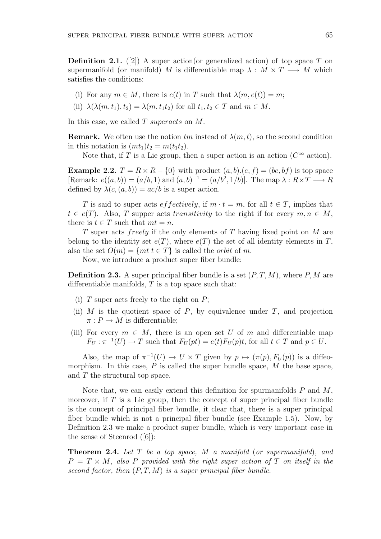**Definition 2.1.** ([2]) A super action (or generalized action) of top space T on supermanifold (or manifold) M is differentiable map  $\lambda : M \times T \longrightarrow M$  which satisfies the conditions:

- (i) For any  $m \in M$ , there is  $e(t)$  in T such that  $\lambda(m, e(t)) = m$ ;
- (ii)  $\lambda(\lambda(m, t_1), t_2) = \lambda(m, t_1t_2)$  for all  $t_1, t_2 \in T$  and  $m \in M$ .

In this case, we called  $T$  superacts on  $M$ .

**Remark.** We often use the notion  $tm$  instead of  $\lambda(m, t)$ , so the second condition in this notation is  $(mt<sub>1</sub>)t<sub>2</sub> = m(t<sub>1</sub>t<sub>2</sub>).$ 

Note that, if T is a Lie group, then a super action is an action  $(C^{\infty} \text{ action})$ .

**Example 2.2.**  $T = R \times R - \{0\}$  with product  $(a, b) \cdot (e, f) = (be, bf)$  is top space [Remark:  $e((a, b)) = (a/b, 1)$  and  $(a, b)^{-1} = (a/b^2, 1/b)$ ]. The map  $\lambda : R \times T \longrightarrow R$ defined by  $\lambda(c,(a,b)) = ac/b$  is a super action.

T is said to super acts effectively, if  $m \cdot t = m$ , for all  $t \in T$ , implies that  $t \in e(T)$ . Also, T supper acts transitivity to the right if for every  $m, n \in M$ , there is  $t \in T$  such that  $mt = n$ .

T super acts *freely* if the only elements of T having fixed point on  $M$  are belong to the identity set  $e(T)$ , where  $e(T)$  the set of all identity elements in T, also the set  $O(m) = \{mt | t \in T\}$  is called the *orbit* of m.

Now, we introduce a product super fiber bundle:

**Definition 2.3.** A super principal fiber bundle is a set  $(P, T, M)$ , where P, M are differentiable manifolds,  $T$  is a top space such that:

- (i)  $T$  super acts freely to the right on  $P$ ;
- (ii) M is the quotient space of P, by equivalence under T, and projection  $\pi : P \to M$  is differentiable;
- (iii) For every  $m \in M$ , there is an open set U of m and differentiable map  $F_U : \pi^{-1}(U) \to T$  such that  $F_U(pt) = e(t)F_U(pt)$ , for all  $t \in T$  and  $p \in U$ .

Also, the map of  $\pi^{-1}(U) \to U \times T$  given by  $p \mapsto (\pi(p), F_U(p))$  is a diffeomorphism. In this case,  $P$  is called the super bundle space,  $M$  the base space, and T the structural top space.

Note that, we can easily extend this definition for spurmanifolds  $P$  and  $M$ , moreover, if  $T$  is a Lie group, then the concept of super principal fiber bundle is the concept of principal fiber bundle, it clear that, there is a super principal fiber bundle which is not a principal fiber bundle (see Example 1.5). Now, by Definition 2.3 we make a product super bundle, which is very important case in the sense of Steenrod ([6]):

**Theorem 2.4.** Let  $T$  be a top space,  $M$  a manifold (or supermanifold), and  $P = T \times M$ , also P provided with the right super action of T on itself in the second factor, then  $(P, T, M)$  is a super principal fiber bundle.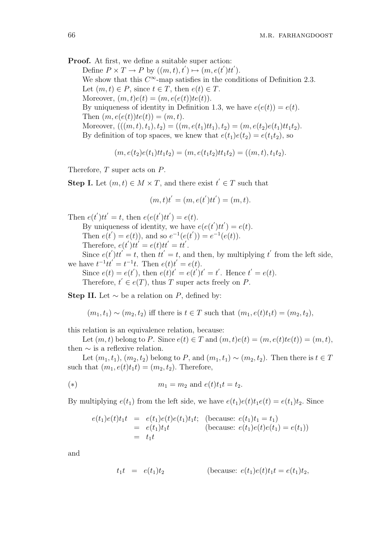Proof. At first, we define a suitable super action: Define  $P \times T \to P$  by  $((m, t), t') \mapsto (m, e(t')tt')$ . We show that this  $C^{\infty}$ -map satisfies in the conditions of Definition 2.3. Let  $(m, t) \in P$ , since  $t \in T$ , then  $e(t) \in T$ . Moreover,  $(m, t)e(t) = (m, e(e(t))te(t)).$ By uniqueness of identity in Definition 1.3, we have  $e(e(t)) = e(t)$ . Then  $(m, e(e(t))te(t)) = (m, t)$ . Moreover,  $(((m, t), t_1), t_2) = ((m, e(t_1)tt_1), t_2) = (m, e(t_2)e(t_1)tt_1t_2).$ By definition of top spaces, we knew that  $e(t_1)e(t_2) = e(t_1t_2)$ , so

$$
(m, e(t_2)e(t_1)tt_1t_2) = (m, e(t_1t_2)tt_1t_2) = ((m, t), t_1t_2).
$$

Therefore, T super acts on P.

**Step I.** Let  $(m, t) \in M \times T$ , and there exist  $t' \in T$  such that

$$
(m, t)t' = (m, e(t')tt') = (m, t).
$$

Then  $e(t')tt' = t$ , then  $e(e(t')tt') = e(t)$ . By uniqueness of identity, we have  $e(e(t')tt') = e(t)$ . Then  $e(t') = e(t)$ , and so  $e^{-1}(e(t')) = e^{-1}(e(t))$ . Therefore,  $e(t')tt' = e(t)tt' = tt'.$ Since  $e(t')tt' = t$ , then  $tt' = t$ , and then, by multiplying t' from the left side, we have  $t^{-1}tt' = t^{-1}t$ . Then  $e(t)t' = e(t)$ . Since  $e(t) = e(t')$ , then  $e(t)t' = e(t')t' = t'$ . Hence  $t' = e(t)$ . Therefore,  $t' \in e(T)$ , thus T super acts freely on P.

Step II. Let  $\sim$  be a relation on P, defined by:

 $(m_1, t_1) \sim (m_2, t_2)$  iff there is  $t \in T$  such that  $(m_1, e(t)t_1t) = (m_2, t_2)$ ,

this relation is an equivalence relation, because:

Let  $(m, t)$  belong to P. Since  $e(t) \in T$  and  $(m, t)e(t) = (m, e(t)te(t)) = (m, t)$ , then  $\sim$  is a reflexive relation.

Let  $(m_1, t_1), (m_2, t_2)$  belong to P, and  $(m_1, t_1) \sim (m_2, t_2)$ . Then there is  $t \in T$ such that  $(m_1, e(t)t_1t) = (m_2, t_2)$ . Therefore,

(\*) 
$$
m_1 = m_2 \text{ and } e(t)t_1 t = t_2.
$$

By multiplying  $e(t_1)$  from the left side, we have  $e(t_1)e(t)t_1e(t) = e(t_1)t_2$ . Since

$$
e(t_1)e(t)t_1t = e(t_1)e(t)e(t_1)t_1t; \text{ (because: } e(t_1)t_1 = t_1)
$$
  
=  $e(t_1)t_1t$  (because:  $e(t_1)e(t)e(t_1) = e(t_1)$ )  
=  $t_1t$ 

and

$$
t_1 t = e(t_1)t_2
$$
 (because:  $e(t_1)e(t)t_1 t = e(t_1)t_2$ ,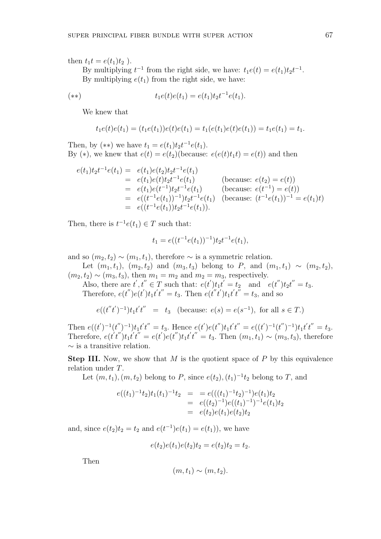then  $t_1t = e(t_1)t_2$ ).

By multiplying  $t^{-1}$  from the right side, we have:  $t_1e(t) = e(t_1)t_2t^{-1}$ . By multiplying  $e(t_1)$  from the right side, we have:

(\*\*) 
$$
t_1e(t)e(t_1) = e(t_1)t_2t^{-1}e(t_1).
$$

We knew that

$$
t_1e(t)e(t_1)=(t_1e(t_1))e(t)e(t_1)=t_1(e(t_1)e(t)e(t_1))=t_1e(t_1)=t_1.
$$

Then, by (\*\*) we have  $t_1 = e(t_1)t_2t^{-1}e(t_1)$ . By (\*), we knew that  $e(t) = e(t_2)$  (because:  $e(e(t)t_1t) = e(t)$ ) and then

$$
e(t_1)t_2t^{-1}e(t_1) = e(t_1)e(t_2)t_2t^{-1}e(t_1)
$$
  
\n
$$
= e(t_1)e(t)t_2t^{-1}e(t_1)
$$
 (because:  $e(t_2) = e(t)$ )  
\n
$$
= e(t_1)e(t^{-1})t_2t^{-1}e(t_1)
$$
 (because:  $e(t^{-1}) = e(t)$ )  
\n
$$
= e((t^{-1}e(t_1))^{-1})t_2t^{-1}e(t_1)
$$
 (because:  $(t^{-1}e(t_1))^{-1} = e(t_1)t$ )  
\n
$$
= e((t^{-1}e(t_1))t_2t^{-1}e(t_1)).
$$

Then, there is  $t^{-1}e(t_1) \in T$  such that:

$$
t_1 = e((t^{-1}e(t_1))^{-1})t_2t^{-1}e(t_1),
$$

and so  $(m_2, t_2) \sim (m_1, t_1)$ , therefore  $\sim$  is a symmetric relation.

Let  $(m_1, t_1), (m_2, t_2)$  and  $(m_3, t_3)$  belong to P, and  $(m_1, t_1) \sim (m_2, t_2)$ ,  $(m_2, t_2) \sim (m_3, t_3)$ , then  $m_1 = m_2$  and  $m_2 = m_3$ , respectively.

Also, there are  $t', t'' \in T$  such that:  $e(t')t_1t' = t_2$  and  $e(t'')t_2t'' = t_3$ . Therefore,  $e(t'')e(t')t_1t't'' = t_3$ . Then  $e(t''t')t_1t't'' = t_3$ , and so

 $e((t''t')^{-1})t_1t't'' = t_3$  (because:  $e(s) = e(s^{-1})$ , for all  $s \in T$ .)

Then  $e((t')^{-1}(t'')^{-1})t_1t't'' = t_3$ . Hence  $e(t')e(t'')t_1t't'' = e((t')^{-1}(t'')^{-1})t_1t't'' = t_3$ . Therefore,  $e(t't'')t_1t't'' = e(t')e(t'')t_1t't'' = t_3$ . Then  $(m_1, t_1) \sim (m_3, t_3)$ , therefore  $∼$  is a transitive relation.

**Step III.** Now, we show that M is the quotient space of P by this equivalence relation under T.

Let  $(m, t_1), (m, t_2)$  belong to P, since  $e(t_2), (t_1)^{-1}t_2$  belong to T, and

$$
e((t_1)^{-1}t_2)t_1(t_1)^{-1}t_2 = e(((t_1)^{-1}t_2)^{-1})e(t_1)t_2
$$
  
=  $e((t_2)^{-1})e((t_1)^{-1})^{-1}e(t_1)t_2$   
=  $e(t_2)e(t_1)e(t_2)t_2$ 

and, since  $e(t_2)t_2 = t_2$  and  $e(t^{-1})e(t_1) = e(t_1)$ , we have

$$
e(t_2)e(t_1)e(t_2)t_2 = e(t_2)t_2 = t_2.
$$

Then

$$
(m, t_1) \sim (m, t_2).
$$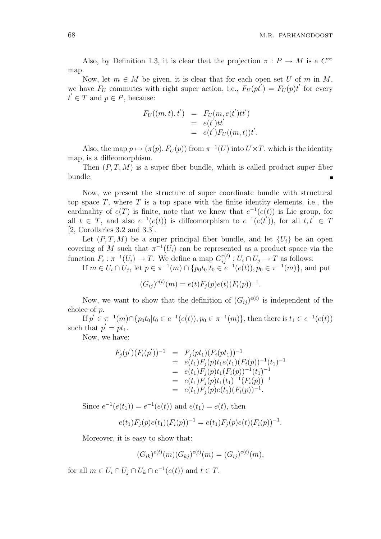Also, by Definition 1.3, it is clear that the projection  $\pi : P \to M$  is a  $C^{\infty}$ map.

Now, let  $m \in M$  be given, it is clear that for each open set U of m in M, we have  $F_U$  commutes with right super action, i.e.,  $F_U(pt') = F_U(pt')$  for every  $t' \in T$  and  $p \in P$ , because:

$$
F_U((m,t),t') = F_U(m,e(t')tt')= e(t')tt'= e(t')F_U((m,t))t'.
$$

Also, the map  $p \mapsto (\pi(p), F_U(p))$  from  $\pi^{-1}(U)$  into  $U \times T$ , which is the identity map, is a diffeomorphism.

Then  $(P, T, M)$  is a super fiber bundle, which is called product super fiber bundle.

Now, we present the structure of super coordinate bundle with structural top space  $T$ , where  $T$  is a top space with the finite identity elements, i.e., the cardinality of  $e(T)$  is finite, note that we knew that  $e^{-1}(e(t))$  is Lie group, for all  $t \in T$ , and also  $e^{-1}(e(t))$  is diffeomorphism to  $e^{-1}(e(t'))$ , for all  $t, t' \in T$ [2, Corollaries 3.2 and 3.3].

Let  $(P, T, M)$  be a super principal fiber bundle, and let  $\{U_i\}$  be an open covering of M such that  $\pi^{-1}(U_i)$  can be represented as a product space via the function  $F_i : \pi^{-1}(U_i) \to T$ . We define a map  $G_{ij}^{e(t)} : U_i \cap U_j \to T$  as follows:

If  $m \in U_i \cap U_j$ , let  $p \in \pi^{-1}(m) \cap \{p_0 t_0 | t_0 \in e^{-1}(e(t)), p_0 \in \pi^{-1}(m)\}\)$ , and put

$$
(G_{ij})^{e(t)}(m) = e(t)F_j(p)e(t)(F_i(p))^{-1}.
$$

Now, we want to show that the definition of  $(G_{ij})^{e(t)}$  is independent of the choice of p.

If  $p' \in \pi^{-1}(m) \cap \{p_0 t_0 | t_0 \in e^{-1}(e(t)), p_0 \in \pi^{-1}(m)\}\$ , then there is  $t_1 \in e^{-1}(e(t))$ such that  $p' = pt_1$ .

Now, we have:

$$
F_j(p')(F_i(p'))^{-1} = F_j(pt_1)(F_i(pt_1))^{-1}
$$
  
\n
$$
= e(t_1)F_j(p)t_1e(t_1)(F_i(p))^{-1}(t_1)^{-1}
$$
  
\n
$$
= e(t_1)F_j(p)t_1(F_i(p))^{-1}(t_1)^{-1}
$$
  
\n
$$
= e(t_1)F_j(p)t_1(t_1)^{-1}(F_i(p))^{-1}
$$
  
\n
$$
= e(t_1)F_j(p)e(t_1)(F_i(p))^{-1}.
$$

Since  $e^{-1}(e(t_1)) = e^{-1}(e(t))$  and  $e(t_1) = e(t)$ , then

$$
e(t_1)F_j(p)e(t_1)(F_i(p))^{-1} = e(t_1)F_j(p)e(t)(F_i(p))^{-1}.
$$

Moreover, it is easy to show that:

$$
(G_{ik})^{e(t)}(m)(G_{kj})^{e(t)}(m) = (G_{ij})^{e(t)}(m),
$$

for all  $m \in U_i \cap U_j \cap U_k \cap e^{-1}(e(t))$  and  $t \in T$ .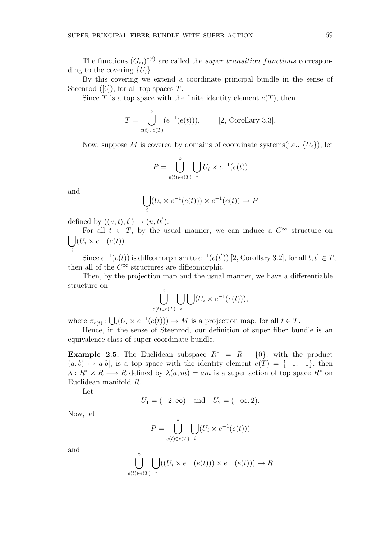By this covering we extend a coordinate principal bundle in the sense of Steenrod  $([6])$ , for all top spaces T.

Since T is a top space with the finite identity element  $e(T)$ , then

$$
T = \bigcup_{e(t)\in e(T)}^{\circ} (e^{-1}(e(t))), \qquad [2, Corollary 3.3].
$$

Now, suppose M is covered by domains of coordinate systems(i.e.,  $\{U_i\}$ ), let

$$
P = \bigcup_{e(t) \in e(T)}^{\circ} \bigcup_i U_i \times e^{-1}(e(t))
$$

and

$$
\bigcup_i (U_i \times e^{-1}(e(t))) \times e^{-1}(e(t)) \to P
$$

defined by  $((u, t), t') \mapsto (u, tt')$ .

For all  $t \in T$ , by the usual manner, we can induce a  $C^{\infty}$  structure on  $(U_i \times e^{-1}(e(t)).$ 

i Since  $e^{-1}(e(t))$  is diffeomorphism to  $e^{-1}(e(t'))$  [2, Corollary 3.2], for all  $t, t' \in T$ , then all of the  $C^{\infty}$  structures are diffeomorphic.

Then, by the projection map and the usual manner, we have a differentiable structure on

$$
\bigcup_{e(t)\in e(T)}^{\circ} \bigcup_i \bigcup (U_i \times e^{-1}(e(t))),
$$

where  $\pi_{e(t)}$ : S  $i_l(U_i \times e^{-1}(e(t))) \to M$  is a projection map, for all  $t \in T$ .

Hence, in the sense of Steenrod, our definition of super fiber bundle is an equivalence class of super coordinate bundle.

Example 2.5. The Euclidean subspace  $R^* = R - \{0\}$ , with the product  $(a, b) \mapsto a|b|$ , is a top space with the identity element  $e(T) = \{+1, -1\}$ , then  $\lambda: R^* \times R \longrightarrow R$  defined by  $\lambda(a,m) = am$  is a super action of top space  $R^*$  on Euclidean manifold R.

Let

 $\sim$ 

$$
U_1 = (-2, \infty)
$$
 and  $U_2 = (-\infty, 2)$ .

Now, let

$$
P = \bigcup_{e(t) \in e(T)}^{\circ} \bigcup_{i} (U_i \times e^{-1}(e(t)))
$$

and

$$
\bigcup_{e(t)\in e(T)}^{\circ} \bigcup_{i} ((U_i \times e^{-1}(e(t))) \times e^{-1}(e(t))) \to R
$$